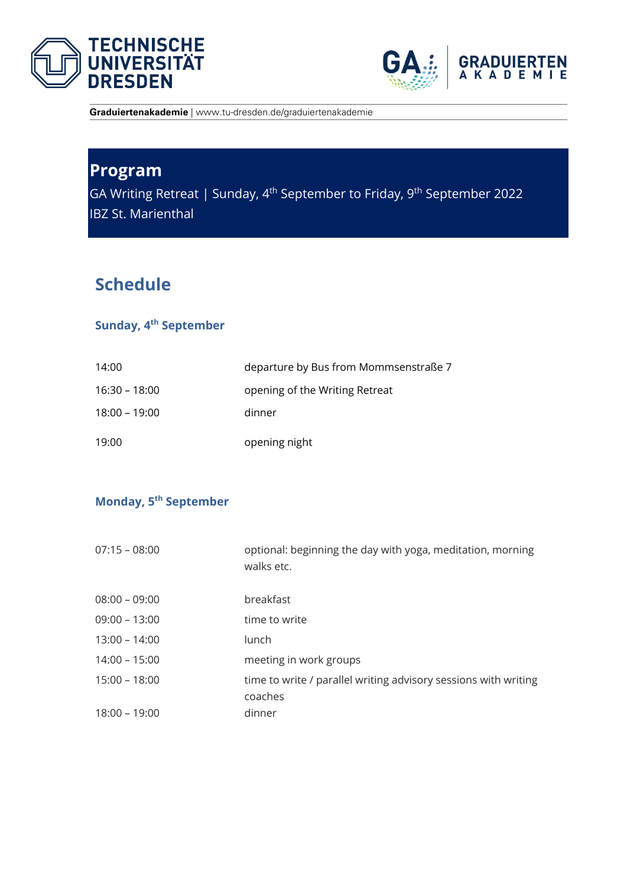



**Graduiertenakademie** | www.tu-dresden.de/graduiertenakademie

# **Program**

GA Writing Retreat | Sunday, 4<sup>th</sup> September to Friday, 9<sup>th</sup> September 2022 IBZ St. Marienthal

## **Schedule**

### **Sunday, 4 th September**

| 14:00           | departure by Bus from Mommsenstraße 7 |
|-----------------|---------------------------------------|
| $16:30 - 18:00$ | opening of the Writing Retreat        |
| $18:00 - 19:00$ | dinner                                |
| 19:00           | opening night                         |

### **Monday, 5 th September**

| $07:15 - 08:00$ | optional: beginning the day with yoga, meditation, morning<br>walks etc. |
|-----------------|--------------------------------------------------------------------------|
| $08:00 - 09:00$ | breakfast                                                                |
| $09:00 - 13:00$ | time to write                                                            |
| $13:00 - 14:00$ | lunch                                                                    |
| $14:00 - 15:00$ | meeting in work groups                                                   |
| $15:00 - 18:00$ | time to write / parallel writing advisory sessions with writing          |
|                 | coaches                                                                  |
| $18:00 - 19:00$ | dinner                                                                   |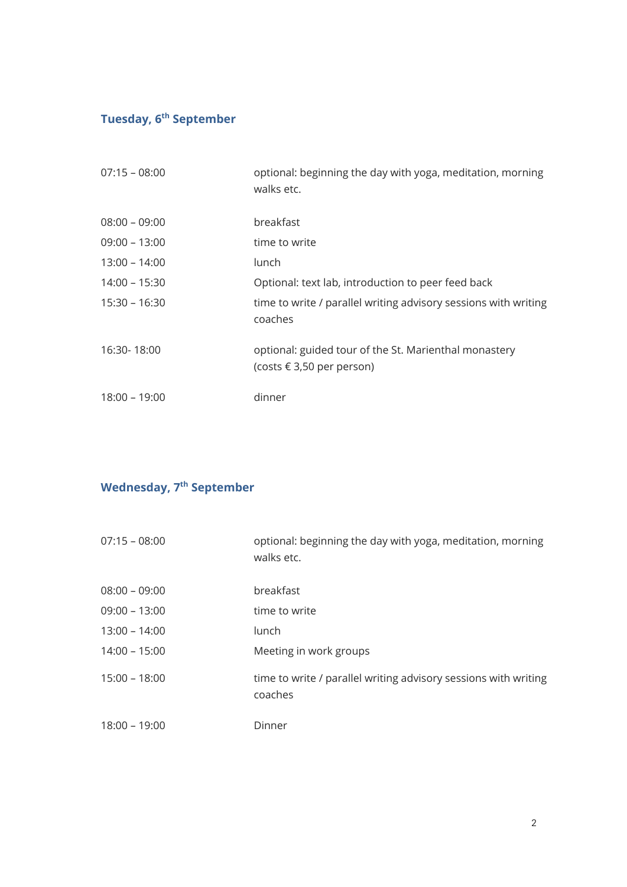### **Tuesday, 6th September**

| $07:15 - 08:00$ | optional: beginning the day with yoga, meditation, morning<br>walks etc.                    |
|-----------------|---------------------------------------------------------------------------------------------|
| $08:00 - 09:00$ | breakfast                                                                                   |
| $09:00 - 13:00$ | time to write                                                                               |
| $13:00 - 14:00$ | lunch                                                                                       |
| $14:00 - 15:30$ | Optional: text lab, introduction to peer feed back                                          |
| $15:30 - 16:30$ | time to write / parallel writing advisory sessions with writing<br>coaches                  |
| 16:30-18:00     | optional: guided tour of the St. Marienthal monastery<br>(costs $\epsilon$ 3,50 per person) |
| $18:00 - 19:00$ | dinner                                                                                      |

#### **Wednesday, 7 th September**

| $07:15 - 08:00$ | optional: beginning the day with yoga, meditation, morning<br>walks etc.   |
|-----------------|----------------------------------------------------------------------------|
| 08:00 - 09:00   | breakfast                                                                  |
| $09:00 - 13:00$ | time to write                                                              |
| $13:00 - 14:00$ | lunch                                                                      |
| $14:00 - 15:00$ | Meeting in work groups                                                     |
| $15:00 - 18:00$ | time to write / parallel writing advisory sessions with writing<br>coaches |
| $18:00 - 19:00$ | Dinner                                                                     |